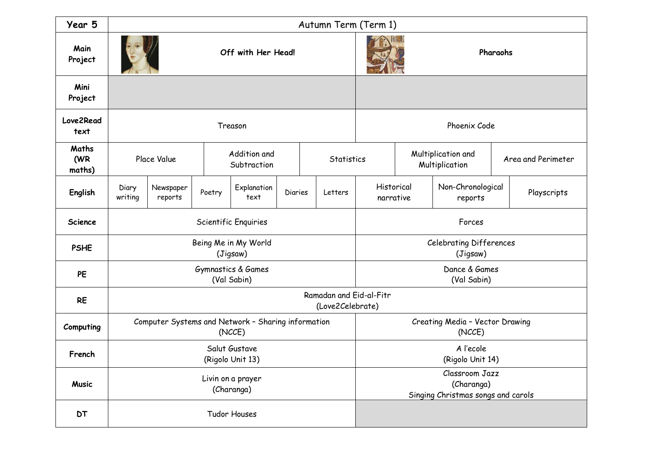| Year 5                 | Autumn Term (Term 1)                                         |                      |        |                             |         |  |                                                                    |              |                                                         |                                      |             |                    |
|------------------------|--------------------------------------------------------------|----------------------|--------|-----------------------------|---------|--|--------------------------------------------------------------------|--------------|---------------------------------------------------------|--------------------------------------|-------------|--------------------|
| Main<br>Project        | Off with Her Head!                                           |                      |        |                             |         |  |                                                                    | Pharaohs     |                                                         |                                      |             |                    |
| Mini<br>Project        |                                                              |                      |        |                             |         |  |                                                                    |              |                                                         |                                      |             |                    |
| Love2Read<br>text      | Treason                                                      |                      |        |                             |         |  |                                                                    | Phoenix Code |                                                         |                                      |             |                    |
| Maths<br>(WR<br>maths) | Place Value                                                  |                      |        | Addition and<br>Subtraction |         |  | <b>Statistics</b>                                                  |              |                                                         | Multiplication and<br>Multiplication |             | Area and Perimeter |
| English                | Diary<br>writing                                             | Newspaper<br>reports | Poetry | Explanation<br>text         | Diaries |  | Letters                                                            |              | Historical<br>Non-Chronological<br>narrative<br>reports |                                      | Playscripts |                    |
| <b>Science</b>         | Scientific Enquiries                                         |                      |        |                             |         |  | Forces                                                             |              |                                                         |                                      |             |                    |
| <b>PSHE</b>            | Being Me in My World<br>(Jigsaw)                             |                      |        |                             |         |  | <b>Celebrating Differences</b><br>(Jigsaw)                         |              |                                                         |                                      |             |                    |
| PE                     | Gymnastics & Games<br>(Val Sabin)                            |                      |        |                             |         |  | Dance & Games<br>(Val Sabin)                                       |              |                                                         |                                      |             |                    |
| <b>RE</b>              | Ramadan and Eid-al-Fitr<br>(Love2Celebrate)                  |                      |        |                             |         |  |                                                                    |              |                                                         |                                      |             |                    |
| Computing              | Computer Systems and Network - Sharing information<br>(NCCE) |                      |        |                             |         |  | Creating Media - Vector Drawing<br>(NCCE)                          |              |                                                         |                                      |             |                    |
| French                 | Salut Gustave<br>(Rigolo Unit 13)                            |                      |        |                             |         |  | A l'ecole<br>(Rigolo Unit 14)                                      |              |                                                         |                                      |             |                    |
| <b>Music</b>           | Livin on a prayer<br>(Charanga)                              |                      |        |                             |         |  | Classroom Jazz<br>(Charanga)<br>Singing Christmas songs and carols |              |                                                         |                                      |             |                    |
| <b>DT</b>              | Tudor Houses                                                 |                      |        |                             |         |  |                                                                    |              |                                                         |                                      |             |                    |